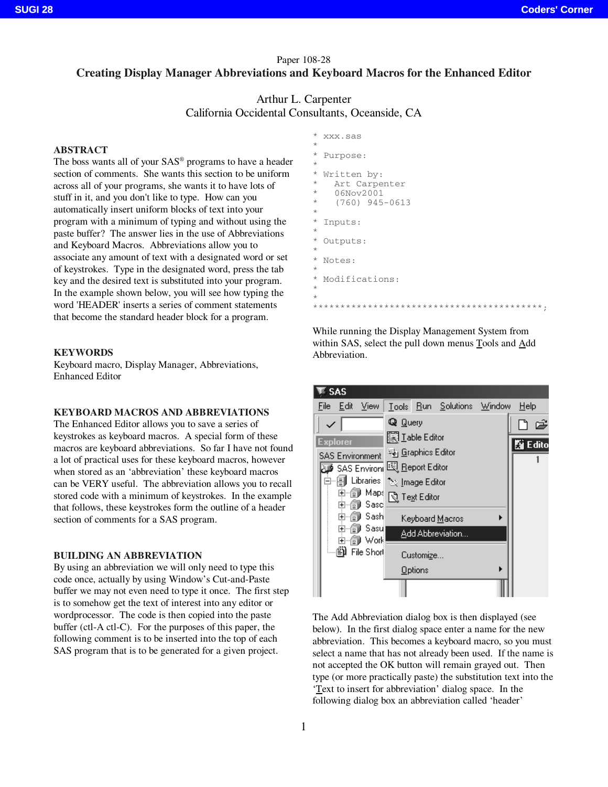# Paper 108-28 **Creating Display Manager Abbreviations and Keyboard Macros for the Enhanced Editor**

# Arthur L. Carpenter California Occidental Consultants, Oceanside, CA

#### **ABSTRACT**

The boss wants all of your SAS® programs to have a header section of comments. She wants this section to be uniform across all of your programs, she wants it to have lots of stuff in it, and you don't like to type. How can you automatically insert uniform blocks of text into your program with a minimum of typing and without using the paste buffer? The answer lies in the use of Abbreviations and Keyboard Macros. Abbreviations allow you to associate any amount of text with a designated word or set of keystrokes. Type in the designated word, press the tab key and the desired text is substituted into your program. In the example shown below, you will see how typing the word 'HEADER' inserts a series of comment statements that become the standard header block for a program.

#### **KEYWORDS**

Keyboard macro, Display Manager, Abbreviations, Enhanced Editor

#### **KEYBOARD MACROS AND ABBREVIATIONS**

The Enhanced Editor allows you to save a series of keystrokes as keyboard macros. A special form of these macros are keyboard abbreviations. So far I have not found a lot of practical uses for these keyboard macros, however when stored as an 'abbreviation' these keyboard macros can be VERY useful. The abbreviation allows you to recall stored code with a minimum of keystrokes. In the example that follows, these keystrokes form the outline of a header section of comments for a SAS program.

#### **BUILDING AN ABBREVIATION**

By using an abbreviation we will only need to type this code once, actually by using Window's Cut-and-Paste buffer we may not even need to type it once. The first step is to somehow get the text of interest into any editor or wordprocessor. The code is then copied into the paste buffer (ctl-A ctl-C). For the purposes of this paper, the following comment is to be inserted into the top of each SAS program that is to be generated for a given project.

| $^{\star}$<br>$^\star$                                      | XXX.SaS                                                       |
|-------------------------------------------------------------|---------------------------------------------------------------|
| $^\star$<br>$\star$                                         | Purpose:                                                      |
| $^\star$<br>$^{\star}$<br>$^{\star}$<br>$^\star$<br>$\star$ | Written by:<br>Art Carpenter<br>06Nov2001<br>$(760)$ 945-0613 |
| $^\star$<br>$^\star$                                        | Inputs:                                                       |
| $^\star$<br>$^\star$                                        | Outputs:                                                      |
| $^{\star}$<br>$\star$                                       | Notes:                                                        |
| $^\star$<br>$^\star$<br>$^{\star}$                          | Modifications:                                                |
|                                                             |                                                               |

While running the Display Management System from within SAS, select the pull down menus Tools and Add Abbreviation.

\*\*\*\*\*\*\*\*\*\*\*\*\*\*\*\*\*\*\*\*\*\*\*\*\*\*\*\*\*\*\*\*\*\*\*\*\*\*\*\*\*\*;



The Add Abbreviation dialog box is then displayed (see below). In the first dialog space enter a name for the new abbreviation. This becomes a keyboard macro, so you must select a name that has not already been used. If the name is not accepted the OK button will remain grayed out. Then type (or more practically paste) the substitution text into the 'Text to insert for abbreviation' dialog space. In the following dialog box an abbreviation called 'header'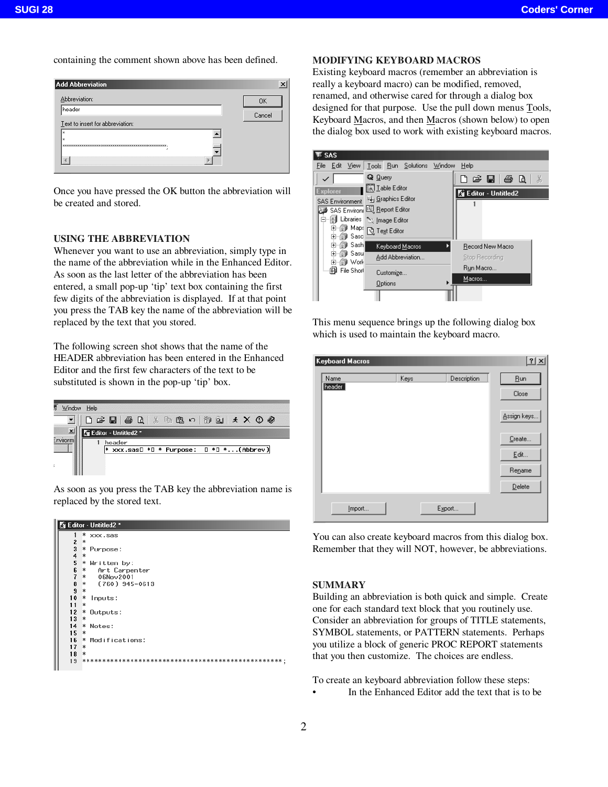containing the comment shown above has been defined.



Once you have pressed the OK button the abbreviation will be created and stored.

## **USING THE ABBREVIATION**

Whenever you want to use an abbreviation, simply type in the name of the abbreviation while in the Enhanced Editor. As soon as the last letter of the abbreviation has been entered, a small pop-up 'tip' text box containing the first few digits of the abbreviation is displayed. If at that point you press the TAB key the name of the abbreviation will be replaced by the text that you stored.

The following screen shot shows that the name of the HEADER abbreviation has been entered in the Enhanced Editor and the first few characters of the text to be substituted is shown in the pop-up 'tip' box.

| ţ             | Window Help                                        |
|---------------|----------------------------------------------------|
|               | 口声目 叠 8 米 轴 8 8 7 简<br>$9 \times X$                |
|               | Editor - Untitled2 *                               |
| Environn<br>t | header<br>xxx.sas□ *□ * Purpose:<br>□ *□ *(Abbrev) |

As soon as you press the TAB key the abbreviation name is replaced by the stored text.



## **MODIFYING KEYBOARD MACROS**

Existing keyboard macros (remember an abbreviation is really a keyboard macro) can be modified, removed, renamed, and otherwise cared for through a dialog box designed for that purpose. Use the pull down menus Tools, Keyboard Macros, and then Macros (shown below) to open the dialog box used to work with existing keyboard macros.

| SAS                                                                                                               |                                                                                               |                                                 |
|-------------------------------------------------------------------------------------------------------------------|-----------------------------------------------------------------------------------------------|-------------------------------------------------|
| View<br>Edit<br>File                                                                                              | Tools Run Solutions                                                                           | Window<br>Help                                  |
|                                                                                                                   | Q Query                                                                                       | d & lig Q<br>Ж                                  |
| <b>Explorer</b><br><b>SAS Environment</b><br>Ú<br>Libraries<br>Maps<br>Ð<br>[∓]…<br>Sasci<br>ΞĪ<br>$\overline{+}$ | Se Graphics Editor<br>SAS Environi 图 Report Editor<br>to Image Editor<br><b>ि Text Editor</b> | Ni Editor - Untitled2                           |
| 罰 Sash <br>$\overline{+}$<br>⊞⊯ Sasu<br>[∓]…<br>简 Work<br>[∓]…<br>ñ<br>File Short                                 | Keyboard Macros<br>Add Abbreviation<br>Customize                                              | Record New Macro<br>Stop Recording<br>Run Macro |
|                                                                                                                   | Options                                                                                       | Macros                                          |

This menu sequence brings up the following dialog box which is used to maintain the keyboard macro.

| Name   | Keys | Description | <b>Bun</b>  |
|--------|------|-------------|-------------|
| header |      |             | Close       |
|        |      |             |             |
|        |      |             | Assign keys |
|        |      |             |             |
|        |      |             | Create      |
|        |      |             | Edit        |
|        |      |             | Rename      |
|        |      |             |             |
|        |      |             | Delete      |

You can also create keyboard macros from this dialog box. Remember that they will NOT, however, be abbreviations.

#### **SUMMARY**

Building an abbreviation is both quick and simple. Create one for each standard text block that you routinely use. Consider an abbreviation for groups of TITLE statements, SYMBOL statements, or PATTERN statements. Perhaps you utilize a block of generic PROC REPORT statements that you then customize. The choices are endless.

To create an keyboard abbreviation follow these steps:

In the Enhanced Editor add the text that is to be